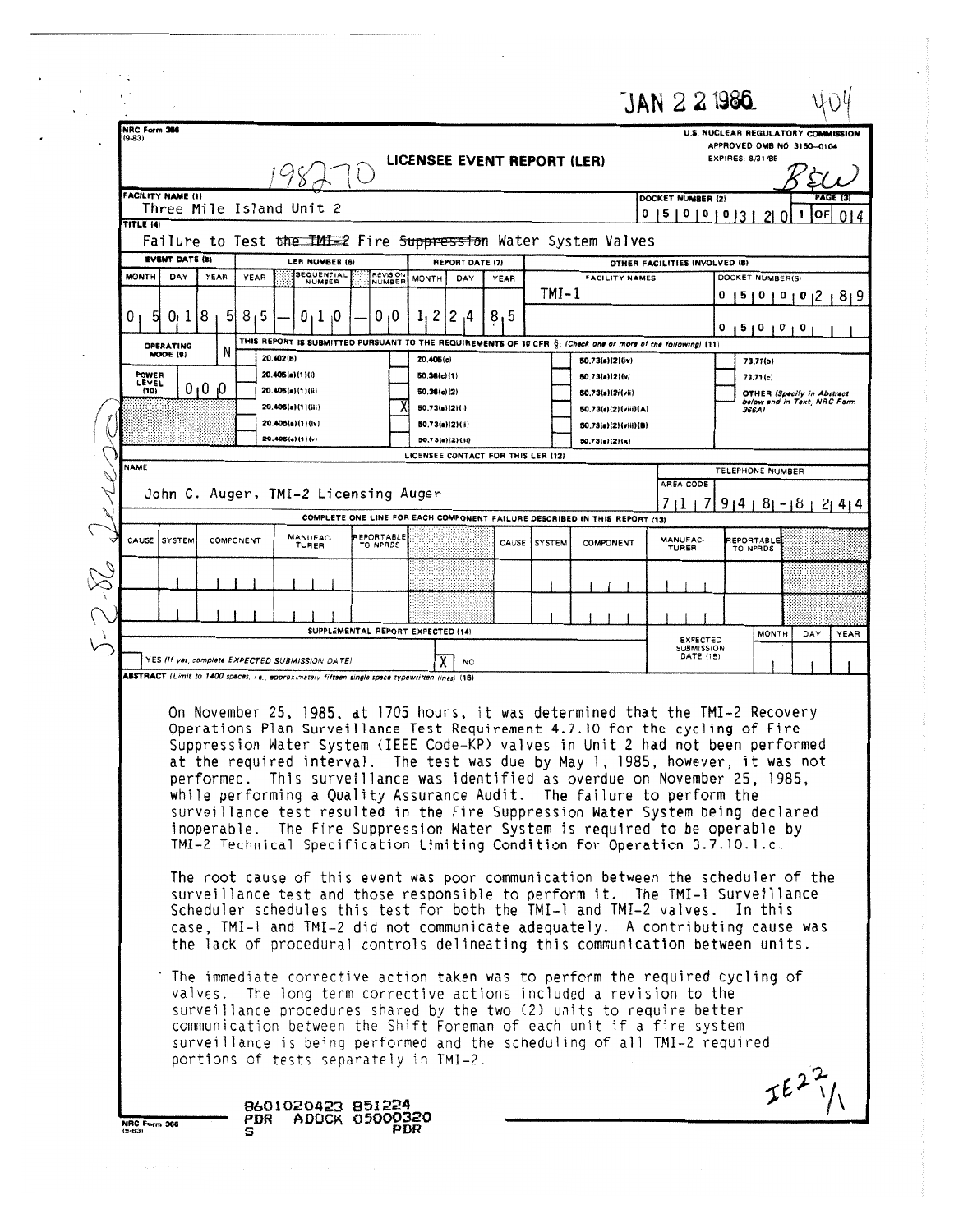|                              |                                 |           |                                                                                                  |                                                                          |                                   |                                    |              |                                                                                                                                                                                                                                                                                                                                                                                                                                                                                                                                                                                                                                                                                                                                                                                                                                                                                                                                                                                                                                                                                                                                                                    | $JAN$ $2$ $2$ 1986.                               |                   |                                                                  |
|------------------------------|---------------------------------|-----------|--------------------------------------------------------------------------------------------------|--------------------------------------------------------------------------|-----------------------------------|------------------------------------|--------------|--------------------------------------------------------------------------------------------------------------------------------------------------------------------------------------------------------------------------------------------------------------------------------------------------------------------------------------------------------------------------------------------------------------------------------------------------------------------------------------------------------------------------------------------------------------------------------------------------------------------------------------------------------------------------------------------------------------------------------------------------------------------------------------------------------------------------------------------------------------------------------------------------------------------------------------------------------------------------------------------------------------------------------------------------------------------------------------------------------------------------------------------------------------------|---------------------------------------------------|-------------------|------------------------------------------------------------------|
| NRC Form 366<br>$(9-83)$     |                                 |           |                                                                                                  |                                                                          | LICENSEE EVENT REPORT (LER)       |                                    |              |                                                                                                                                                                                                                                                                                                                                                                                                                                                                                                                                                                                                                                                                                                                                                                                                                                                                                                                                                                                                                                                                                                                                                                    |                                                   | EXPIRES: 8/31/85  | U.S. NUCLEAR REGULATORY COMMISSION<br>APPROVED OMB NO. 3150-0104 |
| <b>FACILITY NAME (1)</b>     | Three Mile Island Unit 2        |           |                                                                                                  |                                                                          |                                   |                                    |              |                                                                                                                                                                                                                                                                                                                                                                                                                                                                                                                                                                                                                                                                                                                                                                                                                                                                                                                                                                                                                                                                                                                                                                    | DOCKET NUMBER (2)                                 |                   | <b>PAGE (3)</b><br>$ OF $ 014                                    |
| TITLE (4)                    |                                 |           |                                                                                                  |                                                                          |                                   |                                    |              | Failure to Test the IMI=2 Fire Suppression Water System Valves                                                                                                                                                                                                                                                                                                                                                                                                                                                                                                                                                                                                                                                                                                                                                                                                                                                                                                                                                                                                                                                                                                     | 0   5   0   0   0   3   2   0   1                 |                   |                                                                  |
| <b>EVENT DATE (6)</b>        |                                 |           | <b>LER NUMBER (6)</b><br><b>SEQUENTIAL</b>                                                       |                                                                          |                                   | REPORT DATE (7)                    |              |                                                                                                                                                                                                                                                                                                                                                                                                                                                                                                                                                                                                                                                                                                                                                                                                                                                                                                                                                                                                                                                                                                                                                                    | OTHER FACILITIES INVOLVED (8)                     |                   |                                                                  |
| <b>MONTH</b><br>DAY          | YEAR                            | YEAR      | NUMBER                                                                                           | <b>REVISION</b><br>NUMBER                                                | <b>MONTH</b>                      | DAY<br><b>YEAR</b>                 | $TMT-1$      | <b>FACILITY NAMES</b>                                                                                                                                                                                                                                                                                                                                                                                                                                                                                                                                                                                                                                                                                                                                                                                                                                                                                                                                                                                                                                                                                                                                              |                                                   | DOCKET NUMBER(S)  | 0 1 5 1 0 1 0 1 0 1 2 1 8 1 9                                    |
| 0<br>0ı 1                    | 8                               | 8,5       | $0 + 1 + 0$                                                                                      | 0.0                                                                      | $1, 2$   2,4                      | 8,5                                |              |                                                                                                                                                                                                                                                                                                                                                                                                                                                                                                                                                                                                                                                                                                                                                                                                                                                                                                                                                                                                                                                                                                                                                                    |                                                   | 0 1 5 1 0 1 0 1 0 |                                                                  |
| <b>OPERATING</b><br>MODE (9) |                                 | 20.402(b) |                                                                                                  |                                                                          | 20.406(c)                         |                                    |              | THIS REPORT IS SUBMITTED PURSUANT TO THE REQUIREMENTS OF 10 CFR §: (Check one or more of the following) (11)<br>50.73(a)(2)(iv)                                                                                                                                                                                                                                                                                                                                                                                                                                                                                                                                                                                                                                                                                                                                                                                                                                                                                                                                                                                                                                    |                                                   | 73.71(b)          |                                                                  |
| POWER<br>LEVEL<br>(10)       | 0 <sub>1</sub> 0 <sub>1</sub> 0 |           | 20.405(a)(1)(i)<br>20.405(a)(1)(ii)                                                              |                                                                          | 60.36(c)(1)<br>50.36(c)(2)        |                                    |              | 50.73(a)(2)(v)<br>50.73(a)(2)(vii)                                                                                                                                                                                                                                                                                                                                                                                                                                                                                                                                                                                                                                                                                                                                                                                                                                                                                                                                                                                                                                                                                                                                 |                                                   | 73.71(c)          | <b>OTHER (Specify in Abstract</b>                                |
|                              |                                 |           | 20.406(a)(1)(iii)<br>20.405(a)(1)(iv)                                                            |                                                                          | 50.73(a)(2)(i)<br>50.73(a)(2)(ii) |                                    |              | 50.73(a)(2)(viii)(A)                                                                                                                                                                                                                                                                                                                                                                                                                                                                                                                                                                                                                                                                                                                                                                                                                                                                                                                                                                                                                                                                                                                                               |                                                   | 366A)             | below and in Text, NRC Form                                      |
|                              |                                 |           | 20.406(a)(1)(v)                                                                                  |                                                                          | 50.73(a)(2)(ii)                   |                                    |              | 50.73(e)(2)(viii)(B)<br>50.73(a)(2)(n)                                                                                                                                                                                                                                                                                                                                                                                                                                                                                                                                                                                                                                                                                                                                                                                                                                                                                                                                                                                                                                                                                                                             |                                                   |                   |                                                                  |
| <b>NAME</b>                  |                                 |           |                                                                                                  |                                                                          |                                   | LICENSEE CONTACT FOR THIS LER (12) |              |                                                                                                                                                                                                                                                                                                                                                                                                                                                                                                                                                                                                                                                                                                                                                                                                                                                                                                                                                                                                                                                                                                                                                                    | AREA CODE                                         | TELEPHONE NUMBER  |                                                                  |
|                              |                                 |           | John C. Auger, TMI-2 Licensing Auger                                                             |                                                                          |                                   |                                    |              |                                                                                                                                                                                                                                                                                                                                                                                                                                                                                                                                                                                                                                                                                                                                                                                                                                                                                                                                                                                                                                                                                                                                                                    |                                                   |                   | $7 1 7 9 4 8 -18 2 4 4$                                          |
| CAUSE <i>SYSTEM</i>          | COMPONENT                       |           | MANUFAC-                                                                                         | REPORTABLE                                                               |                                   |                                    | CAUSE SYSTEM | COMPLETE ONE LINE FOR EACH COMPONENT FAILURE DESCRIBED IN THIS REPORT (13)<br>COMPONENT                                                                                                                                                                                                                                                                                                                                                                                                                                                                                                                                                                                                                                                                                                                                                                                                                                                                                                                                                                                                                                                                            | MANUFAC-                                          | REPORTABLE        |                                                                  |
|                              |                                 |           | TURER                                                                                            | TO NPRDS                                                                 |                                   |                                    |              |                                                                                                                                                                                                                                                                                                                                                                                                                                                                                                                                                                                                                                                                                                                                                                                                                                                                                                                                                                                                                                                                                                                                                                    | TURER                                             | TO NPRDS          |                                                                  |
|                              |                                 |           |                                                                                                  |                                                                          |                                   |                                    |              |                                                                                                                                                                                                                                                                                                                                                                                                                                                                                                                                                                                                                                                                                                                                                                                                                                                                                                                                                                                                                                                                                                                                                                    |                                                   |                   |                                                                  |
|                              |                                 |           |                                                                                                  |                                                                          | SUPPLEMENTAL REPORT EXPECTED (14) |                                    |              |                                                                                                                                                                                                                                                                                                                                                                                                                                                                                                                                                                                                                                                                                                                                                                                                                                                                                                                                                                                                                                                                                                                                                                    |                                                   |                   |                                                                  |
|                              |                                 |           | YES (If yes, complete EXPECTED SUBMISSION DATE)                                                  |                                                                          |                                   | NO                                 |              |                                                                                                                                                                                                                                                                                                                                                                                                                                                                                                                                                                                                                                                                                                                                                                                                                                                                                                                                                                                                                                                                                                                                                                    | <b>EXPECTED</b><br><b>SUBMISSION</b><br>DATE (15) | <b>MONTH</b>      | DAY<br>YEAR                                                      |
|                              |                                 |           | ABSTRACT (Limit to 1400 spaces, i.e., approximately fifteen single-space typewritten lines) (16) |                                                                          |                                   |                                    |              |                                                                                                                                                                                                                                                                                                                                                                                                                                                                                                                                                                                                                                                                                                                                                                                                                                                                                                                                                                                                                                                                                                                                                                    |                                                   |                   |                                                                  |
|                              |                                 |           |                                                                                                  |                                                                          |                                   |                                    |              | On November 25, 1985, at 1705 hours, it was determined that the TMI-2 Recovery<br>Operations Plan Surveillance Test Requirement 4.7.10 for the cycling of Fire<br>Suppression Water System (IEEE Code-KP) valves in Unit 2 had not been performed<br>at the required interval. The test was due by May 1, 1985, however, it was not<br>performed. This surveillance was identified as overdue on November 25, 1985,<br>while performing a Quality Assurance Audit. The failure to perform the<br>surveillance test resulted in the Fire Suppression Water System being declared<br>inoperable. The Fire Suppression Water System is required to be operable by<br>TMI-2 Technical Specification Limiting Condition for Operation 3.7.10.1.c.<br>The root cause of this event was poor communication between the scheduler of the<br>surveillance test and those responsible to perform it. The TMI-1 Surveillance<br>Scheduler schedules this test for both the TMI-1 and TMI-2 valves. In this<br>case, TMI-1 and TMI-2 did not communicate adequately. A contributing cause was<br>the lack of procedural controls delineating this communication between units. |                                                   |                   |                                                                  |
|                              |                                 |           |                                                                                                  | surveillance is being performed and the scheduling of all TMI-2 required |                                   |                                    |              | The immediate corrective action taken was to perform the required cycling of<br>valves. The long term corrective actions included a revision to the<br>surveillance procedures shared by the two (2) units to require better<br>communication between the Shift Foreman of each unit if a fire system                                                                                                                                                                                                                                                                                                                                                                                                                                                                                                                                                                                                                                                                                                                                                                                                                                                              |                                                   |                   |                                                                  |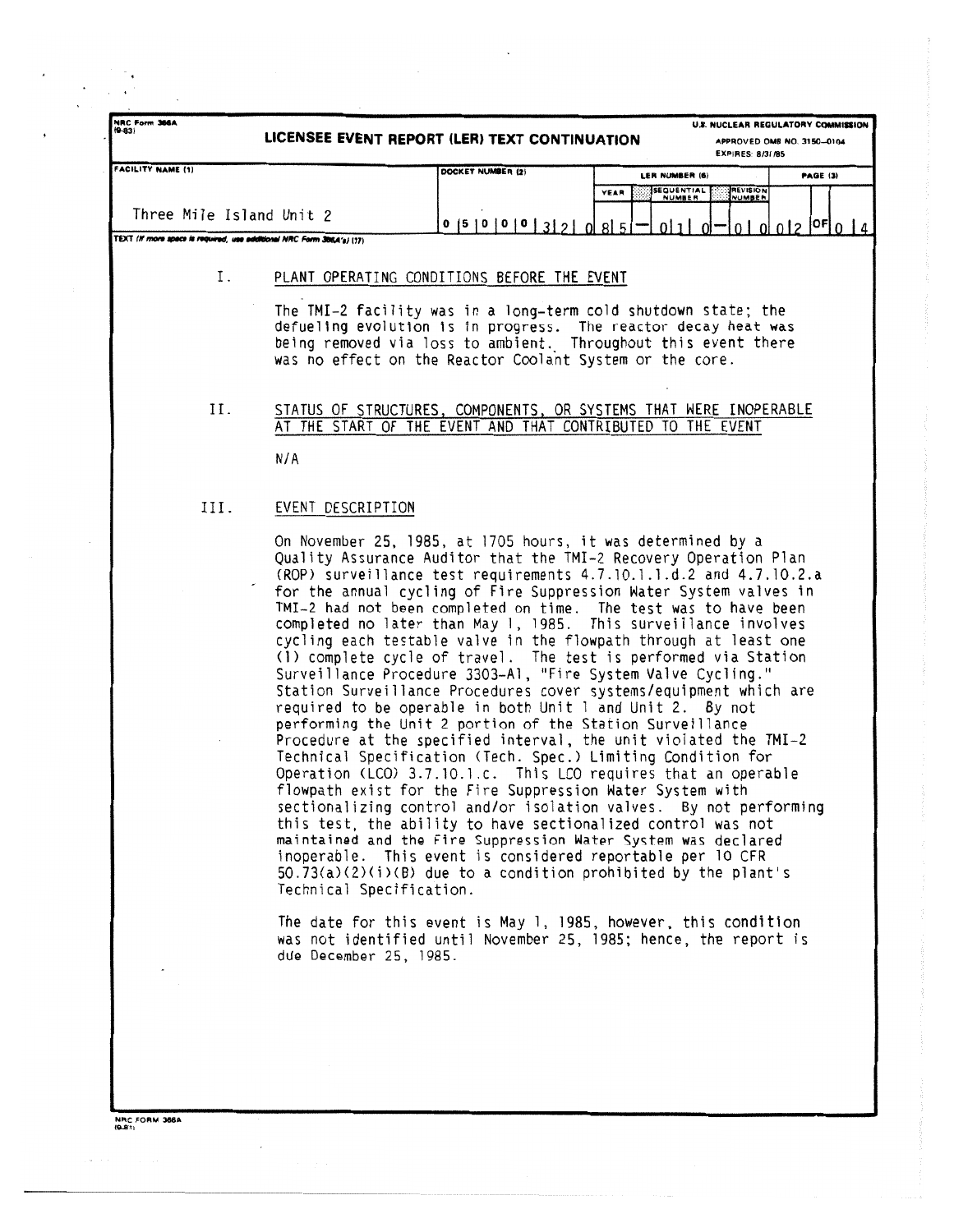|                                                                       | U.S. NUCLEAR REGULATORY COMMISSION<br>LICENSEE EVENT REPORT (LER) TEXT CONTINUATION<br>APPROVED OMB NO. 3150-0104<br>EXPIRES: 8/31/85 |                                                                                                                                                                                                                                                                                                                                                                                                                                                                                                                                                                                                                                                                                                                                                                                                                                                                                                                                                                                                                                                                                                                                                                                                                                                                                                                                                                                                                                                                                                                                                                          |                    |                                                                |  |
|-----------------------------------------------------------------------|---------------------------------------------------------------------------------------------------------------------------------------|--------------------------------------------------------------------------------------------------------------------------------------------------------------------------------------------------------------------------------------------------------------------------------------------------------------------------------------------------------------------------------------------------------------------------------------------------------------------------------------------------------------------------------------------------------------------------------------------------------------------------------------------------------------------------------------------------------------------------------------------------------------------------------------------------------------------------------------------------------------------------------------------------------------------------------------------------------------------------------------------------------------------------------------------------------------------------------------------------------------------------------------------------------------------------------------------------------------------------------------------------------------------------------------------------------------------------------------------------------------------------------------------------------------------------------------------------------------------------------------------------------------------------------------------------------------------------|--------------------|----------------------------------------------------------------|--|
| FACILITY NAME (1)                                                     |                                                                                                                                       | DOCKET NUMBER (2)                                                                                                                                                                                                                                                                                                                                                                                                                                                                                                                                                                                                                                                                                                                                                                                                                                                                                                                                                                                                                                                                                                                                                                                                                                                                                                                                                                                                                                                                                                                                                        | LER NUMBER (6)     | PAGE (3)                                                       |  |
|                                                                       |                                                                                                                                       |                                                                                                                                                                                                                                                                                                                                                                                                                                                                                                                                                                                                                                                                                                                                                                                                                                                                                                                                                                                                                                                                                                                                                                                                                                                                                                                                                                                                                                                                                                                                                                          | SEQUENTIAL<br>YEAR | <b>REVISION</b>                                                |  |
| Three Mile Island Unit 2                                              |                                                                                                                                       | 0  5  0  0  0  3  2  0  8  5                                                                                                                                                                                                                                                                                                                                                                                                                                                                                                                                                                                                                                                                                                                                                                                                                                                                                                                                                                                                                                                                                                                                                                                                                                                                                                                                                                                                                                                                                                                                             |                    | $0 1 $ $0$ $  0 $ $0 $ $0 $ $2$ $ 0$ $\overline{5} $ $0$ $ 4 $ |  |
| TEXT (If more apace is required, use additional NRC Form 3854's) (17) |                                                                                                                                       |                                                                                                                                                                                                                                                                                                                                                                                                                                                                                                                                                                                                                                                                                                                                                                                                                                                                                                                                                                                                                                                                                                                                                                                                                                                                                                                                                                                                                                                                                                                                                                          |                    |                                                                |  |
| Ι.                                                                    |                                                                                                                                       | PLANT OPERATING CONDITIONS BEFORE THE EVENT                                                                                                                                                                                                                                                                                                                                                                                                                                                                                                                                                                                                                                                                                                                                                                                                                                                                                                                                                                                                                                                                                                                                                                                                                                                                                                                                                                                                                                                                                                                              |                    |                                                                |  |
|                                                                       |                                                                                                                                       | The TMI-2 facility was in a long-term cold shutdown state; the                                                                                                                                                                                                                                                                                                                                                                                                                                                                                                                                                                                                                                                                                                                                                                                                                                                                                                                                                                                                                                                                                                                                                                                                                                                                                                                                                                                                                                                                                                           |                    |                                                                |  |
|                                                                       |                                                                                                                                       | defueling evolution is in progress. The reactor decay heat was<br>being removed via loss to ambient. Throughout this event there                                                                                                                                                                                                                                                                                                                                                                                                                                                                                                                                                                                                                                                                                                                                                                                                                                                                                                                                                                                                                                                                                                                                                                                                                                                                                                                                                                                                                                         |                    |                                                                |  |
|                                                                       |                                                                                                                                       | was no effect on the Reactor Coolant System or the core.                                                                                                                                                                                                                                                                                                                                                                                                                                                                                                                                                                                                                                                                                                                                                                                                                                                                                                                                                                                                                                                                                                                                                                                                                                                                                                                                                                                                                                                                                                                 |                    |                                                                |  |
|                                                                       |                                                                                                                                       |                                                                                                                                                                                                                                                                                                                                                                                                                                                                                                                                                                                                                                                                                                                                                                                                                                                                                                                                                                                                                                                                                                                                                                                                                                                                                                                                                                                                                                                                                                                                                                          |                    |                                                                |  |
| Н.                                                                    |                                                                                                                                       | STATUS OF STRUCTURES, COMPONENTS, OR SYSTEMS THAT WERE INOPERABLE                                                                                                                                                                                                                                                                                                                                                                                                                                                                                                                                                                                                                                                                                                                                                                                                                                                                                                                                                                                                                                                                                                                                                                                                                                                                                                                                                                                                                                                                                                        |                    |                                                                |  |
|                                                                       |                                                                                                                                       | AT THE START OF THE EVENT AND THAT CONTRIBUTED TO THE EVENT                                                                                                                                                                                                                                                                                                                                                                                                                                                                                                                                                                                                                                                                                                                                                                                                                                                                                                                                                                                                                                                                                                                                                                                                                                                                                                                                                                                                                                                                                                              |                    |                                                                |  |
|                                                                       | N/A                                                                                                                                   |                                                                                                                                                                                                                                                                                                                                                                                                                                                                                                                                                                                                                                                                                                                                                                                                                                                                                                                                                                                                                                                                                                                                                                                                                                                                                                                                                                                                                                                                                                                                                                          |                    |                                                                |  |
|                                                                       |                                                                                                                                       |                                                                                                                                                                                                                                                                                                                                                                                                                                                                                                                                                                                                                                                                                                                                                                                                                                                                                                                                                                                                                                                                                                                                                                                                                                                                                                                                                                                                                                                                                                                                                                          |                    |                                                                |  |
| III.                                                                  | EVENT DESCRIPTION                                                                                                                     |                                                                                                                                                                                                                                                                                                                                                                                                                                                                                                                                                                                                                                                                                                                                                                                                                                                                                                                                                                                                                                                                                                                                                                                                                                                                                                                                                                                                                                                                                                                                                                          |                    |                                                                |  |
|                                                                       | Technical Specification.<br>due December 25, 1985.                                                                                    | On November 25, 1985, at 1705 hours, it was determined by a<br>Quality Assurance Auditor that the TMI-2 Recovery Operation Plan<br>(ROP) surveillance test requirements 4.7.10.1.1.d.2 and 4.7.10.2.a<br>for the annual cycling of Fire Suppression Water System valves in<br>TMI-2 had not been completed on time. The test was to have been<br>completed no later than May 1, 1985. This surveillance involves<br>cycling each testable valve in the flowpath through at least one<br>(1) complete cycle of travel. The test is performed via Station<br>Surveillance Procedure 3303-Al, "Fire System Valve Cycling."<br>Station Surveillance Procedures cover systems/equipment which are<br>required to be operable in both Unit 1 and Unit 2. By not<br>performing the Unit 2 portion of the Station Surveillance<br>Procedure at the specified interval, the unit violated the TMI-2<br>Technical Specification (Tech. Spec.) Limiting Condition for<br>Operation (LCO) 3.7.10.1.c. This LCO requires that an operable<br>flowpath exist for the Fire Suppression Water System with<br>sectionalizing control and/or isolation valves. By not performing<br>this test, the ability to have sectionalized control was not<br>maintained and the Fire Suppression Water System was declared<br>inoperable. This event is considered reportable per 10 CFR<br>$50.73(a)(2)(i)(B)$ due to a condition prohibited by the plant's<br>The date for this event is May 1, 1985, however, this condition<br>was not identified until November 25, 1985; hence, the report is |                    |                                                                |  |

**NRC FORM 366A**<br>9.931

 $\frac{1}{\sqrt{2}}$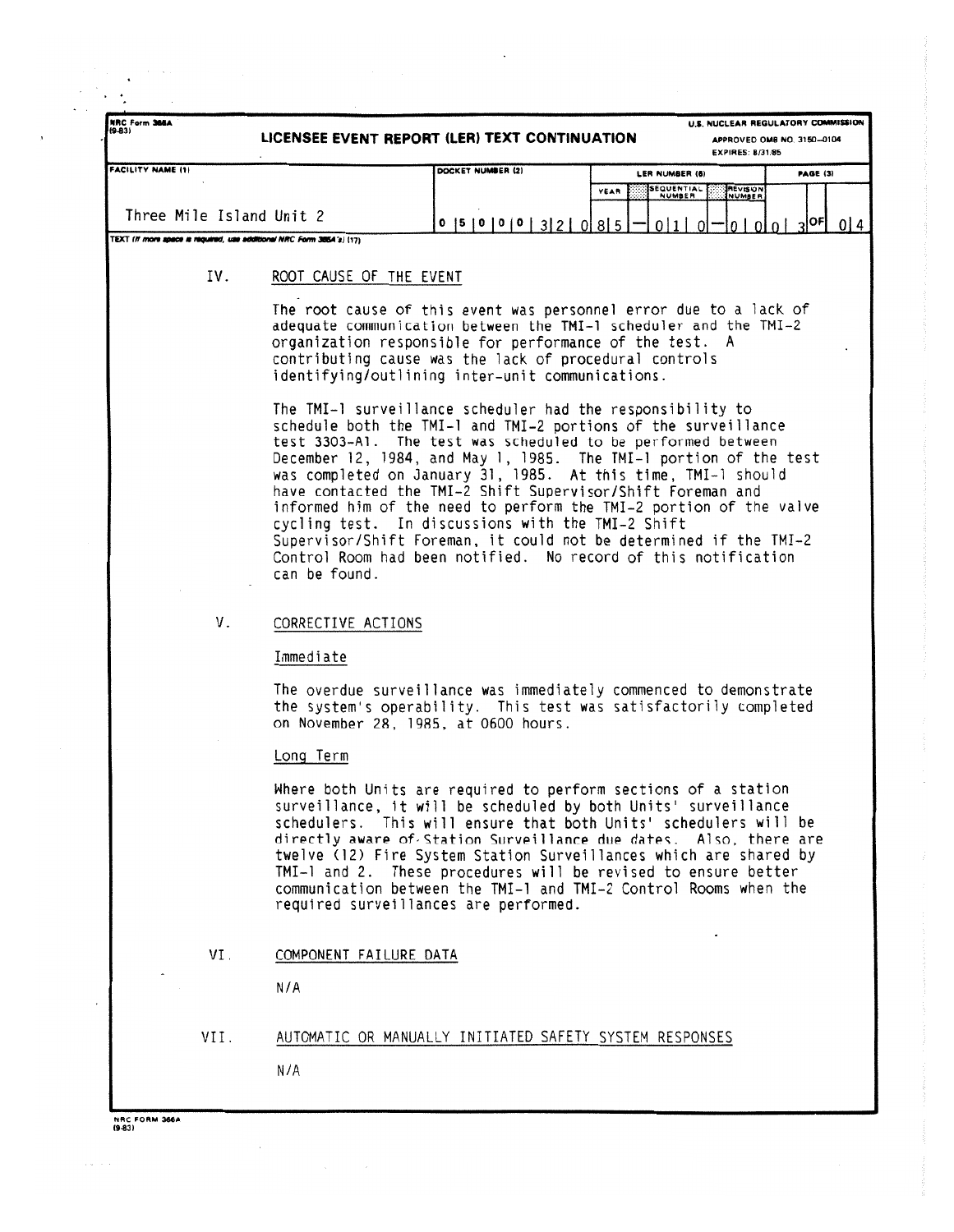| NRC Form 366A<br>$(9-83)$                                             | U.S. NUCLEAR REGULATORY COMMISSION<br>LICENSEE EVENT REPORT (LER) TEXT CONTINUATION<br>APPROVED OMB NO. 3150-0104<br><b>EXPIRES: 8/31/85</b>                                                                                                                                                                                                                                                                                                                                                                                                                                                                                                                                         |                                        |                        |                                       |                                     |  |  |
|-----------------------------------------------------------------------|--------------------------------------------------------------------------------------------------------------------------------------------------------------------------------------------------------------------------------------------------------------------------------------------------------------------------------------------------------------------------------------------------------------------------------------------------------------------------------------------------------------------------------------------------------------------------------------------------------------------------------------------------------------------------------------|----------------------------------------|------------------------|---------------------------------------|-------------------------------------|--|--|
| <b>FACILITY NAME (1)</b>                                              |                                                                                                                                                                                                                                                                                                                                                                                                                                                                                                                                                                                                                                                                                      | DOCKET NUMBER (2)                      | LER NUMBER (6)<br>YEAR | <b>SEQUENTIAL</b><br><b>IREVISION</b> | PAGE (3)                            |  |  |
| Three Mile Island Unit 2                                              |                                                                                                                                                                                                                                                                                                                                                                                                                                                                                                                                                                                                                                                                                      | $0$  5   0   0   0   3   2   0   8   5 |                        | <b>NUMBER</b><br>0 1 0                | $0   0   0   3  $ <sup>OF</sup> 014 |  |  |
| TEXT (If more apace is required, use additional NRC Form 385A's) (17) |                                                                                                                                                                                                                                                                                                                                                                                                                                                                                                                                                                                                                                                                                      |                                        |                        |                                       |                                     |  |  |
| IV.                                                                   | ROOT CAUSE OF THE EVENT                                                                                                                                                                                                                                                                                                                                                                                                                                                                                                                                                                                                                                                              |                                        |                        |                                       |                                     |  |  |
|                                                                       | The root cause of this event was personnel error due to a lack of<br>adequate communication between the TMI-1 scheduler and the TMI-2<br>organization responsible for performance of the test. A<br>contributing cause was the lack of procedural controls<br>identifying/outlining inter-unit communications.                                                                                                                                                                                                                                                                                                                                                                       |                                        |                        |                                       |                                     |  |  |
|                                                                       | The TMI-1 surveillance scheduler had the responsibility to<br>schedule both the TMI-1 and TMI-2 portions of the surveillance<br>test 3303-A1. The test was scheduled to be performed between<br>December 12, 1984, and May 1, 1985. The TMI-1 portion of the test<br>was completed on January 31, 1985. At this time, TMI-1 should<br>have contacted the TMI-2 Shift Supervisor/Shift Foreman and<br>informed him of the need to perform the TMI-2 portion of the valve<br>cycling test. In discussions with the TMI-2 Shift<br>Supervisor/Shift Foreman, it could not be determined if the TMI-2<br>Control Room had been notified. No record of this notification<br>can be found. |                                        |                        |                                       |                                     |  |  |
| V.                                                                    | CORRECTIVE ACTIONS                                                                                                                                                                                                                                                                                                                                                                                                                                                                                                                                                                                                                                                                   |                                        |                        |                                       |                                     |  |  |
|                                                                       | Immediate                                                                                                                                                                                                                                                                                                                                                                                                                                                                                                                                                                                                                                                                            |                                        |                        |                                       |                                     |  |  |
|                                                                       | The overdue surveillance was immediately commenced to demonstrate<br>the system's operability. This test was satisfactorily completed<br>on November 28, 1985, at 0600 hours.                                                                                                                                                                                                                                                                                                                                                                                                                                                                                                        |                                        |                        |                                       |                                     |  |  |
|                                                                       | Long Term                                                                                                                                                                                                                                                                                                                                                                                                                                                                                                                                                                                                                                                                            |                                        |                        |                                       |                                     |  |  |
|                                                                       | Where both Units are required to perform sections of a station<br>surveillance, it will be scheduled by both Units' surveillance<br>schedulers. This will ensure that both Units' schedulers will be<br>directly aware of Station Surveillance due dates. Also, there are<br>twelve (12) Fire System Station Surveillances which are shared by<br>TMI-1 and 2. These procedures will be revised to ensure better<br>communication between the TMI-1 and TMI-2 Control Rooms when the<br>required surveillances are performed.                                                                                                                                                        |                                        |                        |                                       |                                     |  |  |
| VI.                                                                   | COMPONENT FAILURE DATA                                                                                                                                                                                                                                                                                                                                                                                                                                                                                                                                                                                                                                                               |                                        |                        |                                       |                                     |  |  |
|                                                                       | N/A                                                                                                                                                                                                                                                                                                                                                                                                                                                                                                                                                                                                                                                                                  |                                        |                        |                                       |                                     |  |  |
| VII.                                                                  | AUTOMATIC OR MANUALLY INITIATED SAFETY SYSTEM RESPONSES                                                                                                                                                                                                                                                                                                                                                                                                                                                                                                                                                                                                                              |                                        |                        |                                       |                                     |  |  |
|                                                                       |                                                                                                                                                                                                                                                                                                                                                                                                                                                                                                                                                                                                                                                                                      |                                        |                        |                                       |                                     |  |  |

 $\epsilon$  ,  $\epsilon$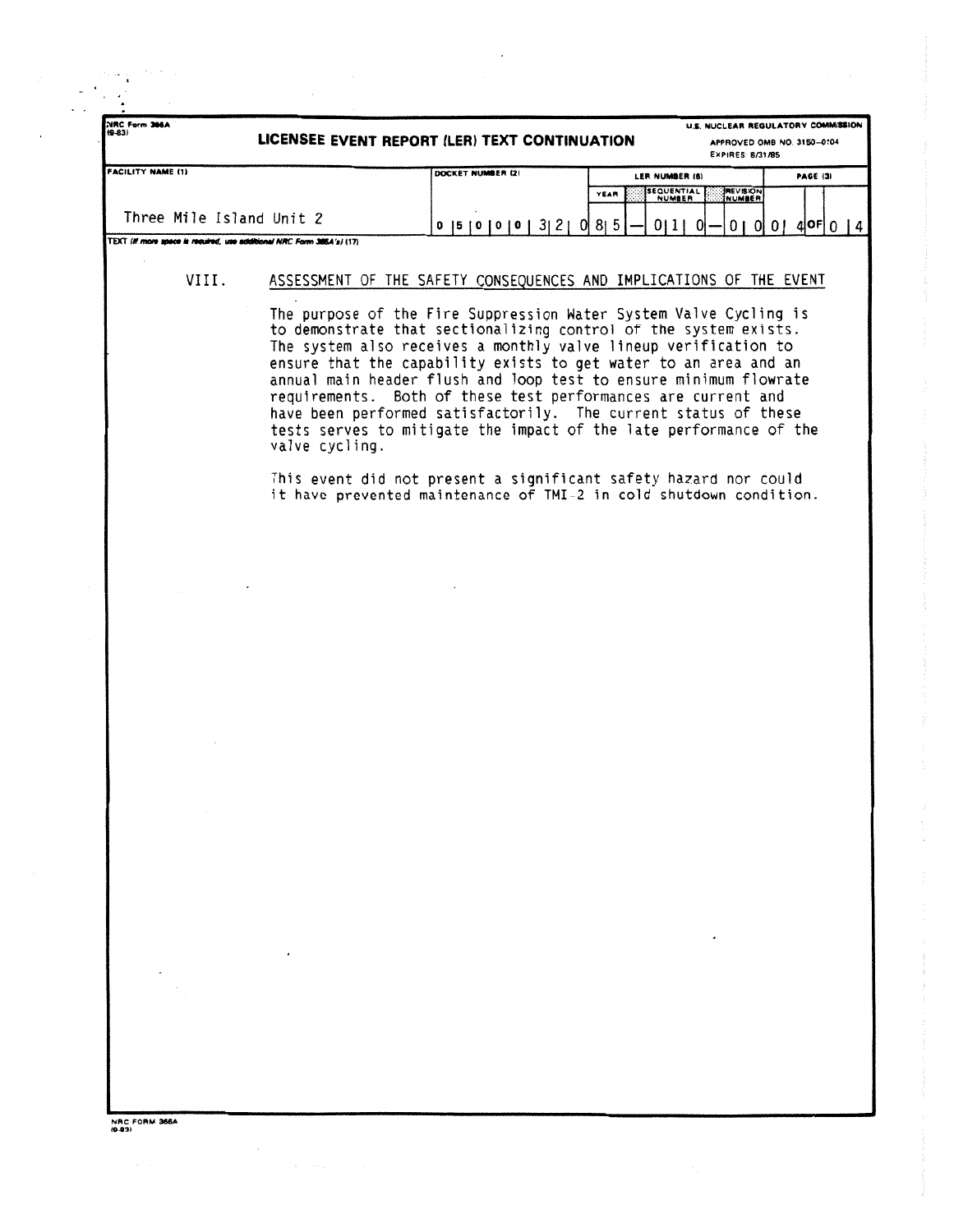| NRC Form 366A<br>$(9-83)$                                             | U.S. NUCLEAR REGULATORY COMMISSION<br>LICENSEE EVENT REPORT (LER) TEXT CONTINUATION<br>APPROVED OMB NO. 3150-0104<br><b>EXPIRES: 8/31/85</b> |                                                                                                                                                                                                                                                                                                                                                                                                                                                                                                                                                             |                                            |                            |                            |  |  |  |
|-----------------------------------------------------------------------|----------------------------------------------------------------------------------------------------------------------------------------------|-------------------------------------------------------------------------------------------------------------------------------------------------------------------------------------------------------------------------------------------------------------------------------------------------------------------------------------------------------------------------------------------------------------------------------------------------------------------------------------------------------------------------------------------------------------|--------------------------------------------|----------------------------|----------------------------|--|--|--|
| <b>FACILITY NAME (1)</b>                                              |                                                                                                                                              | DOCKET NUMBER (2)                                                                                                                                                                                                                                                                                                                                                                                                                                                                                                                                           |                                            | LER NUMBER (6)<br>PAGE (3) |                            |  |  |  |
|                                                                       |                                                                                                                                              |                                                                                                                                                                                                                                                                                                                                                                                                                                                                                                                                                             | <b>SEQUENTIAL</b><br>YEAR<br><b>NUMBER</b> | <b>MEVISION</b>            |                            |  |  |  |
| Three Mile Island Unit 2                                              |                                                                                                                                              | 0  5  0  0  0  3  2  0  8  5                                                                                                                                                                                                                                                                                                                                                                                                                                                                                                                                |                                            | $01110 -$                  | $0   0   0   4$ of $0   4$ |  |  |  |
| TEXT (If more apace is required, use additional NRC Form 385A's) (17) |                                                                                                                                              |                                                                                                                                                                                                                                                                                                                                                                                                                                                                                                                                                             |                                            |                            |                            |  |  |  |
| VIII.                                                                 |                                                                                                                                              | ASSESSMENT OF THE SAFETY CONSEQUENCES AND IMPLICATIONS OF THE EVENT                                                                                                                                                                                                                                                                                                                                                                                                                                                                                         |                                            |                            |                            |  |  |  |
|                                                                       | valve cycling.                                                                                                                               | The purpose of the Fire Suppression Water System Valve Cycling is<br>to demonstrate that sectionalizing control of the system exists.<br>The system also receives a monthly valve lineup verification to<br>ensure that the capability exists to get water to an area and an<br>annual main header flush and loop test to ensure minimum flowrate<br>requirements. Both of these test performances are current and<br>have been performed satisfactorily. The current status of these<br>tests serves to mitigate the impact of the late performance of the |                                            |                            |                            |  |  |  |
|                                                                       |                                                                                                                                              | This event did not present a significant safety hazard nor could<br>it have prevented maintenance of TMI-2 in cold shutdown condition.                                                                                                                                                                                                                                                                                                                                                                                                                      |                                            |                            |                            |  |  |  |
|                                                                       |                                                                                                                                              |                                                                                                                                                                                                                                                                                                                                                                                                                                                                                                                                                             |                                            |                            |                            |  |  |  |
|                                                                       |                                                                                                                                              |                                                                                                                                                                                                                                                                                                                                                                                                                                                                                                                                                             |                                            |                            |                            |  |  |  |
|                                                                       |                                                                                                                                              |                                                                                                                                                                                                                                                                                                                                                                                                                                                                                                                                                             |                                            |                            |                            |  |  |  |
|                                                                       |                                                                                                                                              |                                                                                                                                                                                                                                                                                                                                                                                                                                                                                                                                                             |                                            |                            |                            |  |  |  |
|                                                                       |                                                                                                                                              |                                                                                                                                                                                                                                                                                                                                                                                                                                                                                                                                                             |                                            |                            |                            |  |  |  |
|                                                                       |                                                                                                                                              |                                                                                                                                                                                                                                                                                                                                                                                                                                                                                                                                                             |                                            |                            |                            |  |  |  |
|                                                                       |                                                                                                                                              |                                                                                                                                                                                                                                                                                                                                                                                                                                                                                                                                                             |                                            |                            |                            |  |  |  |
|                                                                       |                                                                                                                                              |                                                                                                                                                                                                                                                                                                                                                                                                                                                                                                                                                             |                                            |                            |                            |  |  |  |
|                                                                       |                                                                                                                                              |                                                                                                                                                                                                                                                                                                                                                                                                                                                                                                                                                             |                                            |                            |                            |  |  |  |
|                                                                       |                                                                                                                                              |                                                                                                                                                                                                                                                                                                                                                                                                                                                                                                                                                             |                                            |                            |                            |  |  |  |
|                                                                       |                                                                                                                                              |                                                                                                                                                                                                                                                                                                                                                                                                                                                                                                                                                             |                                            |                            |                            |  |  |  |
|                                                                       |                                                                                                                                              |                                                                                                                                                                                                                                                                                                                                                                                                                                                                                                                                                             |                                            |                            |                            |  |  |  |
|                                                                       |                                                                                                                                              |                                                                                                                                                                                                                                                                                                                                                                                                                                                                                                                                                             |                                            |                            |                            |  |  |  |
|                                                                       |                                                                                                                                              |                                                                                                                                                                                                                                                                                                                                                                                                                                                                                                                                                             |                                            |                            |                            |  |  |  |
|                                                                       |                                                                                                                                              |                                                                                                                                                                                                                                                                                                                                                                                                                                                                                                                                                             |                                            |                            |                            |  |  |  |
|                                                                       |                                                                                                                                              |                                                                                                                                                                                                                                                                                                                                                                                                                                                                                                                                                             |                                            |                            |                            |  |  |  |
|                                                                       |                                                                                                                                              |                                                                                                                                                                                                                                                                                                                                                                                                                                                                                                                                                             |                                            |                            |                            |  |  |  |
|                                                                       |                                                                                                                                              |                                                                                                                                                                                                                                                                                                                                                                                                                                                                                                                                                             |                                            |                            |                            |  |  |  |
|                                                                       |                                                                                                                                              |                                                                                                                                                                                                                                                                                                                                                                                                                                                                                                                                                             |                                            |                            |                            |  |  |  |
|                                                                       |                                                                                                                                              |                                                                                                                                                                                                                                                                                                                                                                                                                                                                                                                                                             |                                            |                            |                            |  |  |  |
|                                                                       |                                                                                                                                              |                                                                                                                                                                                                                                                                                                                                                                                                                                                                                                                                                             |                                            |                            |                            |  |  |  |
|                                                                       |                                                                                                                                              |                                                                                                                                                                                                                                                                                                                                                                                                                                                                                                                                                             |                                            |                            |                            |  |  |  |

 $\ddot{\phantom{0}}$